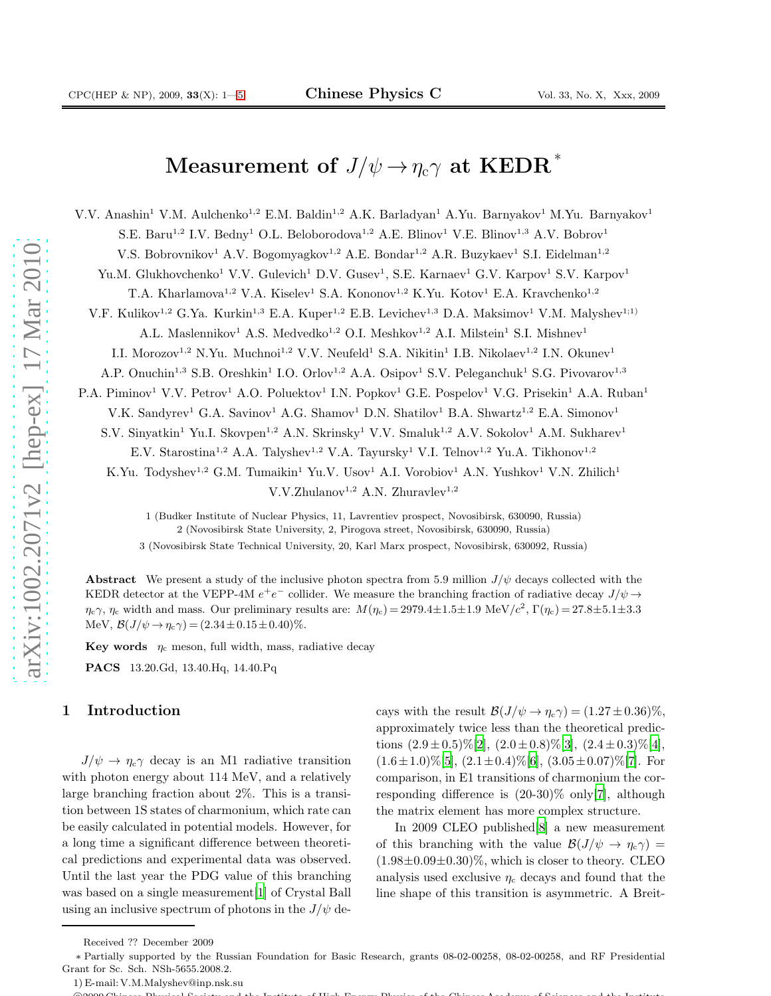# ${\bf Measurement\,\, of}\,\, J/\psi \to \eta_{\rm c} \gamma\,\, {\bf at}\,\, \text{KEDR}^{\,*}$

V.V. Anashin<sup>1</sup> V.M. Aulchenko<sup>1,2</sup> E.M. Baldin<sup>1,2</sup> A.K. Barladyan<sup>1</sup> A.Yu. Barnyakov<sup>1</sup> M.Yu. Barnyakov<sup>1</sup>

S.E. Baru<sup>1,2</sup> I.V. Bedny<sup>1</sup> O.L. Beloborodova<sup>1,2</sup> A.E. Blinov<sup>1</sup> V.E. Blinov<sup>1,3</sup> A.V. Bobrov<sup>1</sup>

V.S. Bobrovnikov<sup>1</sup> A.V. Bogomyagkov<sup>1,2</sup> A.E. Bondar<sup>1,2</sup> A.R. Buzykaev<sup>1</sup> S.I. Eidelman<sup>1,2</sup>

Yu.M. Glukhovchenko<sup>1</sup> V.V. Gulevich<sup>1</sup> D.V. Gusev<sup>1</sup>, S.E. Karnaev<sup>1</sup> G.V. Karpov<sup>1</sup> S.V. Karpov<sup>1</sup>

T.A. Kharlamova<sup>1,2</sup> V.A. Kiselev<sup>1</sup> S.A. Kononov<sup>1,2</sup> K.Yu. Kotov<sup>1</sup> E.A. Kravchenko<sup>1,2</sup>

V.F. Kulikov<sup>1,2</sup> G.Ya. Kurkin<sup>1,3</sup> E.A. Kuper<sup>1,2</sup> E.B. Levichev<sup>1,3</sup> D.A. Maksimov<sup>1</sup> V.M. Malyshev<sup>1;1)</sup>

A.L. Maslennikov<sup>1</sup> A.S. Medvedko<sup>1,2</sup> O.I. Meshkov<sup>1,2</sup> A.I. Milstein<sup>1</sup> S.I. Mishnev<sup>1</sup>

I.I. Morozov<sup>1,2</sup> N.Yu. Muchnoi<sup>1,2</sup> V.V. Neufeld<sup>1</sup> S.A. Nikitin<sup>1</sup> I.B. Nikolaev<sup>1,2</sup> I.N. Okunev<sup>1</sup>

A.P. Onuchin<sup>1,3</sup> S.B. Oreshkin<sup>1</sup> I.O. Orlov<sup>1,2</sup> A.A. Osipov<sup>1</sup> S.V. Peleganchuk<sup>1</sup> S.G. Pivovarov<sup>1,3</sup>

P.A. Piminov<sup>1</sup> V.V. Petrov<sup>1</sup> A.O. Poluektov<sup>1</sup> I.N. Popkov<sup>1</sup> G.E. Pospelov<sup>1</sup> V.G. Prisekin<sup>1</sup> A.A. Ruban<sup>1</sup>

V.K. Sandyrev<sup>1</sup> G.A. Savinov<sup>1</sup> A.G. Shamov<sup>1</sup> D.N. Shatilov<sup>1</sup> B.A. Shwartz<sup>1,2</sup> E.A. Simonov<sup>1</sup>

S.V. Sinyatkin<sup>1</sup> Yu.I. Skovpen<sup>1,2</sup> A.N. Skrinsky<sup>1</sup> V.V. Smaluk<sup>1,2</sup> A.V. Sokolov<sup>1</sup> A.M. Sukharev<sup>1</sup>

E.V. Starostina<sup>1,2</sup> A.A. Talyshev<sup>1,2</sup> V.A. Tayursky<sup>1</sup> V.I. Telnov<sup>1,2</sup> Yu.A. Tikhonov<sup>1,2</sup>

K.Yu. Todyshev<sup>1,2</sup> G.M. Tumaikin<sup>1</sup> Yu.V. Usov<sup>1</sup> A.I. Vorobiov<sup>1</sup> A.N. Yushkov<sup>1</sup> V.N. Zhilich<sup>1</sup>

 $V.V.Zhulanov<sup>1,2</sup> A.N. Zhuravlev<sup>1,2</sup>$ 

1 (Budker Institute of Nuclear Physics, 11, Lavrentiev prospect, Novosibirsk, 630090, Russia) 2 (Novosibirsk State University, 2, Pirogova street, Novosibirsk, 630090, Russia)

3 (Novosibirsk State Technical University, 20, Karl Marx prospect, Novosibirsk, 630092, Russia)

Abstract We present a study of the inclusive photon spectra from 5.9 million  $J/\psi$  decays collected with the KEDR detector at the VEPP-4M  $e^+e^-$  collider. We measure the branching fraction of radiative decay  $J/\psi \rightarrow$  $\eta_c \gamma$ ,  $\eta_c$  width and mass. Our preliminary results are:  $M(\eta_c) = 2979.4 \pm 1.5 \pm 1.9 \text{ MeV}/c^2$ ,  $\Gamma(\eta_c) = 27.8 \pm 5.1 \pm 3.3 \text{ MeV}/c^2$ MeV,  $\mathcal{B}(J/\psi \to \eta_c \gamma) = (2.34 \pm 0.15 \pm 0.40)\%$ .

Key words  $\eta_c$  meson, full width, mass, radiative decay

PACS 13.20.Gd, 13.40.Hq, 14.40.Pq

### 1 Introduction

 $J/\psi \to \eta_c \gamma$  decay is an M1 radiative transition with photon energy about 114 MeV, and a relatively large branching fraction about 2%. This is a transition between 1S states of charmonium, which rate can be easily calculated in potential models. However, for a long time a significant difference between theoretical predictions and experimental data was observed. Until the last year the PDG value of this branching was based on a single measurement[\[1\]](#page-4-1) of Crystal Ball using an inclusive spectrum of photons in the  $J/\psi$  de-

cays with the result  $\mathcal{B}(J/\psi \to \eta_c \gamma) = (1.27 \pm 0.36)\%,$ approximately twice less than the theoretical predictions  $(2.9\pm0.5)\%$ [\[2\]](#page-4-2),  $(2.0\pm0.8)\%$ [\[3](#page-4-3)],  $(2.4\pm0.3)\%$ [\[4\]](#page-4-4),  $(1.6 \pm 1.0)\%$ [\[5\]](#page-4-5),  $(2.1 \pm 0.4)\%$ [\[6\]](#page-4-6),  $(3.05 \pm 0.07)\%$ [\[7\]](#page-4-7). For comparison, in E1 transitions of charmonium the corresponding difference is (20-30)% only[\[7](#page-4-7)], although the matrix element has more complex structure.

In 2009 CLEO published[\[8](#page-4-8)] a new measurement of this branching with the value  $\mathcal{B}(J/\psi \to \eta_c \gamma) =$  $(1.98\pm0.09\pm0.30)\%$ , which is closer to theory. CLEO analysis used exclusive  $\eta_c$  decays and found that the line shape of this transition is asymmetric. A Breit-

Received ?? December 2009

<sup>∗</sup> Partially supported by the Russian Foundation for Basic Research, grants 08-02-00258, 08-02-00258, and RF Presidential Grant for Sc. Sch. NSh-5655.2008.2.

<sup>1)</sup> E-mail: V.M.Malyshev@inp.nsk.su

<sup>c</sup> 2009 Chinese Physical Society and the Institute of High Energy Physics of the Chinese Academy of Sciences and the Institute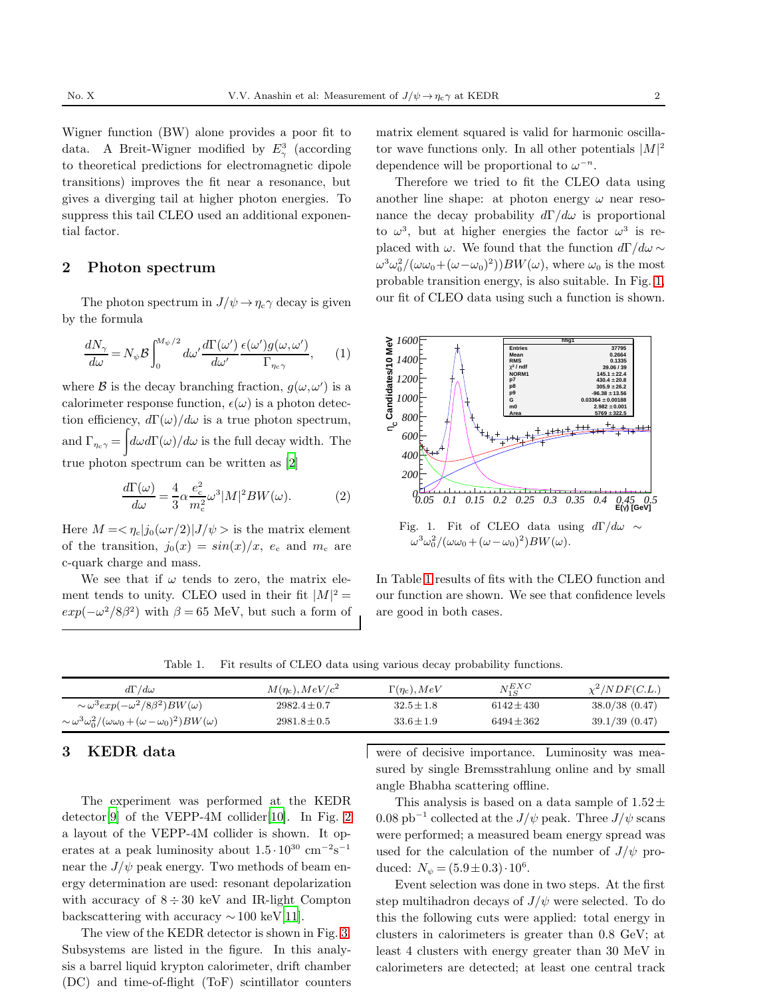Wigner function (BW) alone provides a poor fit to data. A Breit-Wigner modified by  $E_{\gamma}^3$  (according to theoretical predictions for electromagnetic dipole transitions) improves the fit near a resonance, but gives a diverging tail at higher photon energies. To suppress this tail CLEO used an additional exponential factor.

## 2 Photon spectrum

The photon spectrum in  $J/\psi \rightarrow \eta_c \gamma$  decay is given by the formula

$$
\frac{dN_{\gamma}}{d\omega} = N_{\psi} \mathcal{B} \int_0^{M_{\psi}/2} d\omega' \frac{d\Gamma(\omega')}{d\omega'} \frac{\epsilon(\omega')g(\omega,\omega')}{\Gamma_{\eta_c \gamma}}, \qquad (1)
$$

where  $\mathcal B$  is the decay branching fraction,  $g(\omega, \omega')$  is a calorimeter response function,  $\epsilon(\omega)$  is a photon detection efficiency,  $d\Gamma(\omega)/d\omega$  is a true photon spectrum, and  $\Gamma_{\eta_c\gamma} = \int d\omega d\Gamma(\omega)/d\omega$  is the full decay width. The true photon spectrum can be written as [\[2](#page-4-2)]

$$
\frac{d\Gamma(\omega)}{d\omega} = \frac{4}{3}\alpha \frac{e_c^2}{m_c^2}\omega^3 |M|^2 BW(\omega).
$$
 (2)

Here  $M = \langle \eta_c | j_0(\omega r/2) | J/\psi \rangle$  is the matrix element of the transition,  $j_0(x) = \sin(x)/x$ ,  $e_c$  and  $m_c$  are c-quark charge and mass.

We see that if  $\omega$  tends to zero, the matrix element tends to unity. CLEO used in their fit  $|M|^2 =$  $exp(-\omega^2/8\beta^2)$  with  $\beta = 65$  MeV, but such a form of matrix element squared is valid for harmonic oscillator wave functions only. In all other potentials  $|M|^2$ dependence will be proportional to  $\omega^{-n}$ .

Therefore we tried to fit the CLEO data using another line shape: at photon energy  $\omega$  near resonance the decay probability  $d\Gamma/d\omega$  is proportional to  $\omega^3$ , but at higher energies the factor  $\omega^3$  is replaced with  $\omega$ . We found that the function  $d\Gamma/d\omega \sim$  $\omega^3 \omega_0^2/(\omega \omega_0+(\omega-\omega_0)^2))BW(\omega)$ , where  $\omega_0$  is the most probable transition energy, is also suitable. In Fig. [1,](#page-1-0) our fit of CLEO data using such a function is shown.



<span id="page-1-0"></span>Fig. 1. Fit of CLEO data using  $d\Gamma/d\omega \sim$  $\omega^3 \omega_0^2/(\omega \omega_0+(\omega-\omega_0)^2)BW(\omega).$ 

In Table [1](#page-1-1) results of fits with the CLEO function and our function are shown. We see that confidence levels are good in both cases.

<span id="page-1-1"></span>Table 1. Fit results of CLEO data using various decay probability functions.

| $d\Gamma/d\omega$                                                              | $M(\eta_c)$ , $MeV/c^2$ | $\Gamma(\eta_{\rm c}), MeV$ | $N_{1S}^{EXC}$ | $\chi^2/NDF(C.L.)$ |
|--------------------------------------------------------------------------------|-------------------------|-----------------------------|----------------|--------------------|
| $\sim \omega^3 exp(-\omega^2/8\beta^2)BW(\omega)$                              | $2982.4 + 0.7$          | $32.5 \pm 1.8$              | $6142 \pm 430$ | 38.0/38(0.47)      |
| $\sim \omega^3 \omega_0^2/(\omega \omega_0 + (\omega - \omega_0)^2)BW(\omega)$ | $2981.8 \pm 0.5$        | $33.6 \pm 1.9$              | $6494 \pm 362$ | 39.1/39(0.47)      |

# 3 KEDR data

The experiment was performed at the KEDR detector<sup>[\[9\]](#page-4-9)</sup> of the VEPP-4M collider<sup>[\[10\]](#page-4-10)</sup>. In Fig. [2](#page-2-0) a layout of the VEPP-4M collider is shown. It operates at a peak luminosity about  $1.5 \cdot 10^{30}$  cm<sup>-2</sup>s<sup>-1</sup> near the  $J/\psi$  peak energy. Two methods of beam energy determination are used: resonant depolarization with accuracy of  $8 \div 30$  keV and IR-light Compton backscattering with accuracy  $\sim 100 \text{ keV}[11]$  $\sim 100 \text{ keV}[11]$ .

The view of the KEDR detector is shown in Fig. [3.](#page-2-1) Subsystems are listed in the figure. In this analysis a barrel liquid krypton calorimeter, drift chamber (DC) and time-of-flight (ToF) scintillator counters were of decisive importance. Luminosity was measured by single Bremsstrahlung online and by small angle Bhabha scattering offline.

This analysis is based on a data sample of  $1.52\pm$ 0.08  $pb^{-1}$  collected at the  $J/\psi$  peak. Three  $J/\psi$  scans were performed; a measured beam energy spread was used for the calculation of the number of  $J/\psi$  produced:  $N_{\psi} = (5.9 \pm 0.3) \cdot 10^6$ .

Event selection was done in two steps. At the first step multihadron decays of  $J/\psi$  were selected. To do this the following cuts were applied: total energy in clusters in calorimeters is greater than 0.8 GeV; at least 4 clusters with energy greater than 30 MeV in calorimeters are detected; at least one central track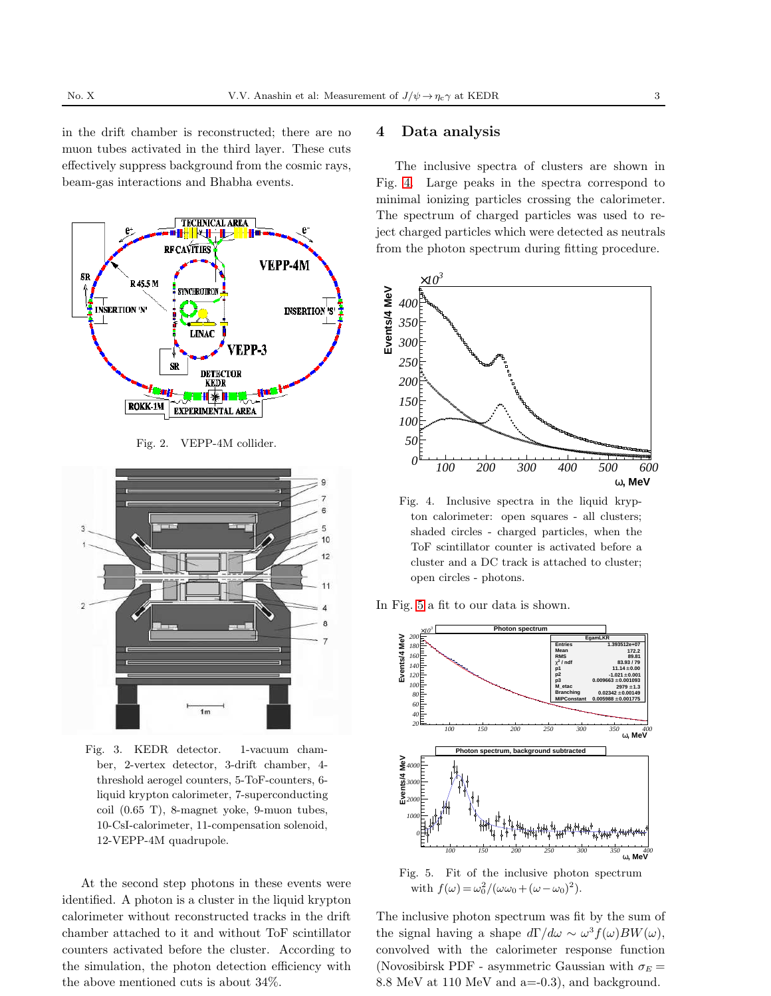in the drift chamber is reconstructed; there are no muon tubes activated in the third layer. These cuts effectively suppress background from the cosmic rays, beam-gas interactions and Bhabha events.



<span id="page-2-0"></span>Fig. 2. VEPP-4M collider.



<span id="page-2-1"></span>Fig. 3. KEDR detector. 1-vacuum chamber, 2-vertex detector, 3-drift chamber, 4 threshold aerogel counters, 5-ToF-counters, 6 liquid krypton calorimeter, 7-superconducting coil (0.65 T), 8-magnet yoke, 9-muon tubes, 10-CsI-calorimeter, 11-compensation solenoid, 12-VEPP-4M quadrupole.

At the second step photons in these events were identified. A photon is a cluster in the liquid krypton calorimeter without reconstructed tracks in the drift chamber attached to it and without ToF scintillator counters activated before the cluster. According to the simulation, the photon detection efficiency with the above mentioned cuts is about 34%.

#### 4 Data analysis

The inclusive spectra of clusters are shown in Fig. [4.](#page-2-2) Large peaks in the spectra correspond to minimal ionizing particles crossing the calorimeter. The spectrum of charged particles was used to reject charged particles which were detected as neutrals from the photon spectrum during fitting procedure.



<span id="page-2-2"></span>Fig. 4. Inclusive spectra in the liquid krypton calorimeter: open squares - all clusters; shaded circles - charged particles, when the ToF scintillator counter is activated before a cluster and a DC track is attached to cluster; open circles - photons.

In Fig. [5](#page-2-3) a fit to our data is shown.



<span id="page-2-3"></span>Fig. 5. Fit of the inclusive photon spectrum with  $f(\omega) = \frac{\omega_0^2}{(\omega \omega_0 + (\omega - \omega_0)^2)}$ .

The inclusive photon spectrum was fit by the sum of the signal having a shape  $d\Gamma/d\omega \sim \omega^3 f(\omega)BW(\omega)$ , convolved with the calorimeter response function (Novosibirsk PDF - asymmetric Gaussian with  $\sigma_E =$ 8.8 MeV at 110 MeV and a=-0.3), and background.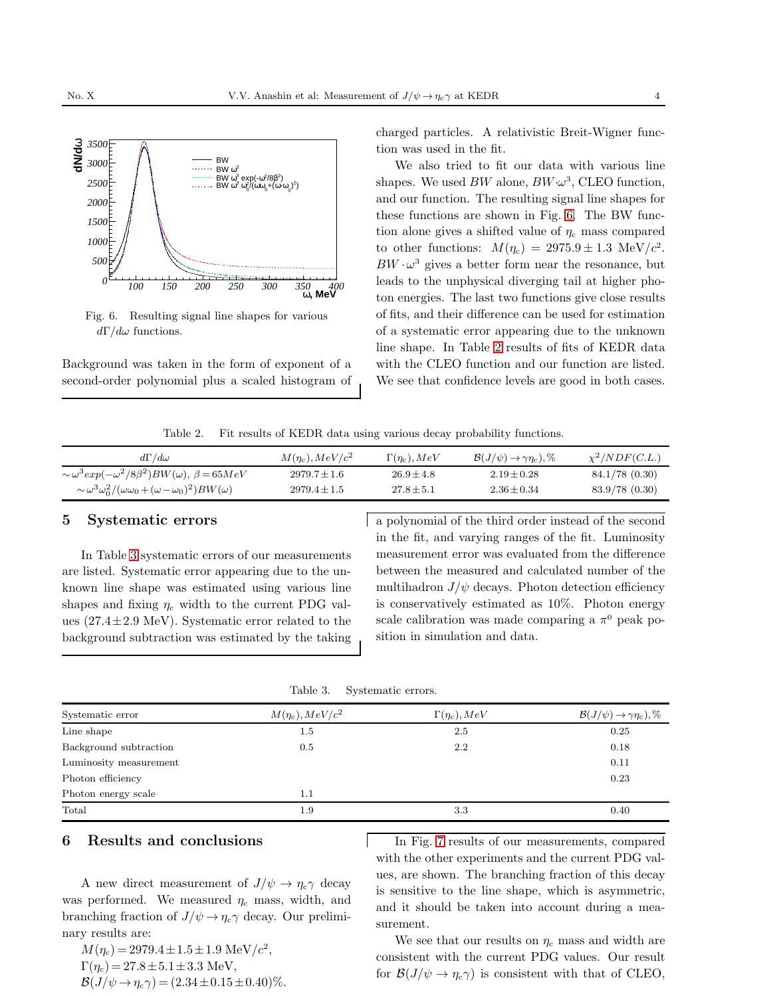

<span id="page-3-0"></span>Fig. 6. Resulting signal line shapes for various  $d\Gamma/d\omega$  functions.

Background was taken in the form of exponent of a second-order polynomial plus a scaled histogram of charged particles. A relativistic Breit-Wigner function was used in the fit.

We also tried to fit our data with various line shapes. We used  $BW$  alone,  $BW \cdot \omega^3$ , CLEO function, and our function. The resulting signal line shapes for these functions are shown in Fig. [6.](#page-3-0) The BW function alone gives a shifted value of  $\eta_c$  mass compared to other functions:  $M(\eta_c) = 2975.9 \pm 1.3 \text{ MeV}/c^2$ .  $BW \cdot \omega^3$  gives a better form near the resonance, but leads to the unphysical diverging tail at higher photon energies. The last two functions give close results of fits, and their difference can be used for estimation of a systematic error appearing due to the unknown line shape. In Table [2](#page-3-1) results of fits of KEDR data with the CLEO function and our function are listed. We see that confidence levels are good in both cases.

<span id="page-3-1"></span>Table 2. Fit results of KEDR data using various decay probability functions.

| $d\Gamma/d\omega$                                                              | $M(\eta_c)$ , $MeV/c^2$ | $\Gamma(\eta_c), MeV$ | $\mathcal{B}(J/\psi) \rightarrow \gamma \eta_c$ , % | $\chi^2/NDF(C.L.)$ |
|--------------------------------------------------------------------------------|-------------------------|-----------------------|-----------------------------------------------------|--------------------|
| $\sim \omega^3 exp(-\omega^2/8\beta^2)BW(\omega), \beta = 65MeV$               | $2979.7 \pm 1.6$        | $26.9 \pm 4.8$        | $2.19 \pm 0.28$                                     | 84.1/78(0.30)      |
| $\sim \omega^3 \omega_0^2/(\omega \omega_0 + (\omega - \omega_0)^2)BW(\omega)$ | $2979.4 \pm 1.5$        | $27.8 \pm 5.1$        | $2.36 \pm 0.34$                                     | 83.9/78(0.30)      |

#### 5 Systematic errors

In Table [3](#page-3-2) systematic errors of our measurements are listed. Systematic error appearing due to the unknown line shape was estimated using various line shapes and fixing  $\eta_c$  width to the current PDG values  $(27.4 \pm 2.9 \text{ MeV})$ . Systematic error related to the background subtraction was estimated by the taking a polynomial of the third order instead of the second in the fit, and varying ranges of the fit. Luminosity measurement error was evaluated from the difference between the measured and calculated number of the multihadron  $J/\psi$  decays. Photon detection efficiency is conservatively estimated as 10%. Photon energy scale calibration was made comparing a  $\pi^0$  peak position in simulation and data.

<span id="page-3-2"></span>

| Table 3. | Systematic errors. |  |
|----------|--------------------|--|
|----------|--------------------|--|

| Systematic error       | $M(\eta_{\rm c}), MeV/c^2$ | $\Gamma(\eta_c)$ , $MeV$ | $\mathcal{B}(J/\psi) \rightarrow \gamma \eta_c$ , % |
|------------------------|----------------------------|--------------------------|-----------------------------------------------------|
| Line shape             | 1.5                        | 2.5                      | 0.25                                                |
| Background subtraction | 0.5                        | 2.2                      | 0.18                                                |
| Luminosity measurement |                            |                          | 0.11                                                |
| Photon efficiency      |                            |                          | 0.23                                                |
| Photon energy scale    | $1.1\,$                    |                          |                                                     |
| Total                  | 1.9                        | 3.3                      | 0.40                                                |

#### 6 Results and conclusions

A new direct measurement of  $J/\psi \rightarrow \eta_c \gamma$  decay was performed. We measured  $\eta_c$  mass, width, and branching fraction of  $J/\psi \rightarrow \eta_c \gamma$  decay. Our preliminary results are:

 $M(\eta_c) = 2979.4 \pm 1.5 \pm 1.9 \text{ MeV}/c^2,$  $\Gamma(\eta_c) = 27.8 \pm 5.1 \pm 3.3$  MeV,  $\mathcal{B}(J/\psi \to \eta_{\rm c}\gamma) = (2.34 \pm 0.15 \pm 0.40)\%$ .

In Fig. [7](#page-4-12) results of our measurements, compared with the other experiments and the current PDG values, are shown. The branching fraction of this decay is sensitive to the line shape, which is asymmetric, and it should be taken into account during a measurement.

We see that our results on  $\eta_c$  mass and width are consistent with the current PDG values. Our result for  $\mathcal{B}(J/\psi \to \eta_c \gamma)$  is consistent with that of CLEO,